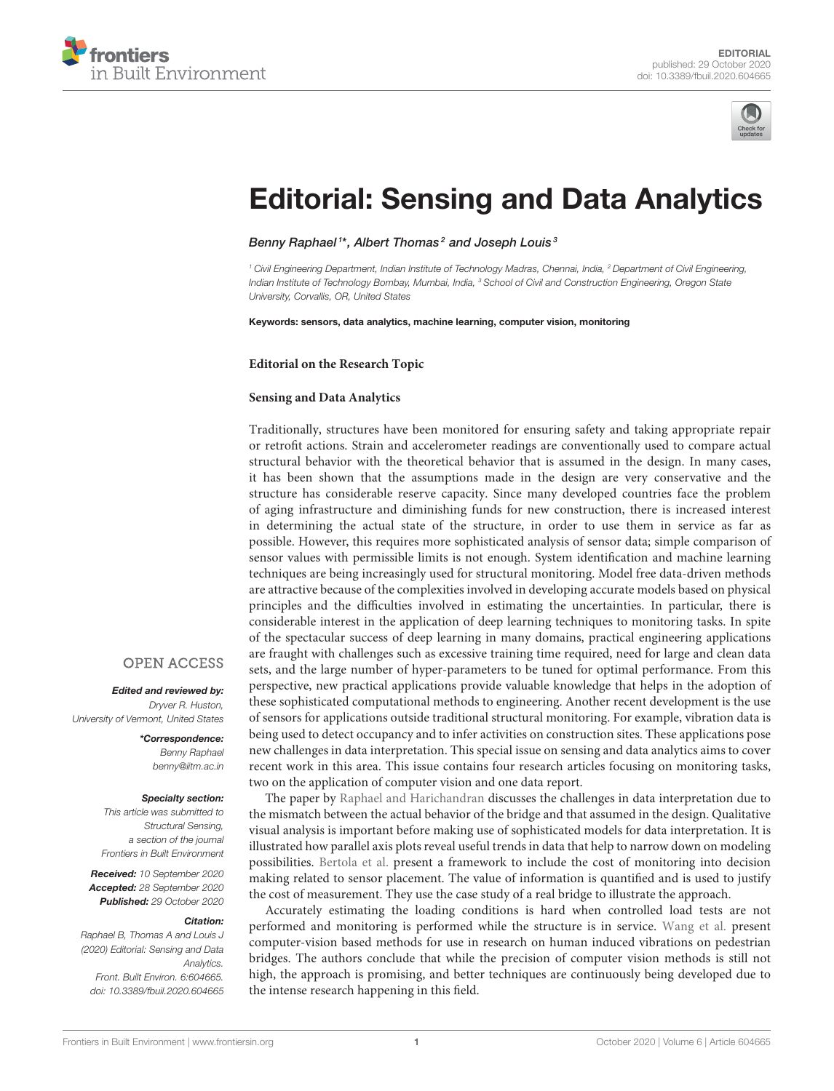



# Editorial: Sensing and Data Analytics

## Benny Raphael<sup>1\*</sup>, Albert Thomas<sup>2</sup> and Joseph Louis<sup>3</sup>

*<sup>1</sup> Civil Engineering Department, Indian Institute of Technology Madras, Chennai, India, <sup>2</sup> Department of Civil Engineering, Indian Institute of Technology Bombay, Mumbai, India, <sup>3</sup> School of Civil and Construction Engineering, Oregon State University, Corvallis, OR, United States*

Keywords: sensors, data analytics, machine learning, computer vision, monitoring

**Editorial on the Research Topic**

### **Sensing and Data Analytics**

Traditionally, structures have been monitored for ensuring safety and taking appropriate repair or retrofit actions. Strain and accelerometer readings are conventionally used to compare actual structural behavior with the theoretical behavior that is assumed in the design. In many cases, it has been shown that the assumptions made in the design are very conservative and the structure has considerable reserve capacity. Since many developed countries face the problem of aging infrastructure and diminishing funds for new construction, there is increased interest in determining the actual state of the structure, in order to use them in service as far as possible. However, this requires more sophisticated analysis of sensor data; simple comparison of sensor values with permissible limits is not enough. System identification and machine learning techniques are being increasingly used for structural monitoring. Model free data-driven methods are attractive because of the complexities involved in developing accurate models based on physical principles and the difficulties involved in estimating the uncertainties. In particular, there is considerable interest in the application of deep learning techniques to monitoring tasks. In spite of the spectacular success of deep learning in many domains, practical engineering applications are fraught with challenges such as excessive training time required, need for large and clean data sets, and the large number of hyper-parameters to be tuned for optimal performance. From this perspective, new practical applications provide valuable knowledge that helps in the adoption of these sophisticated computational methods to engineering. Another recent development is the use of sensors for applications outside traditional structural monitoring. For example, vibration data is being used to detect occupancy and to infer activities on construction sites. These applications pose new challenges in data interpretation. This special issue on sensing and data analytics aims to cover recent work in this area. This issue contains four research articles focusing on monitoring tasks, two on the application of computer vision and one data report.

The paper by Raphael and Harichandran discusses the challenges in data interpretation due to the mismatch between the actual behavior of the bridge and that assumed in the design. Qualitative visual analysis is important before making use of sophisticated models for data interpretation. It is illustrated how parallel axis plots reveal useful trends in data that help to narrow down on modeling possibilities. Bertola et al. present a framework to include the cost of monitoring into decision making related to sensor placement. The value of information is quantified and is used to justify the cost of measurement. They use the case study of a real bridge to illustrate the approach.

Accurately estimating the loading conditions is hard when controlled load tests are not performed and monitoring is performed while the structure is in service. Wang et al. present computer-vision based methods for use in research on human induced vibrations on pedestrian bridges. The authors conclude that while the precision of computer vision methods is still not high, the approach is promising, and better techniques are continuously being developed due to the intense research happening in this field.

## **OPEN ACCESS**

Edited and reviewed by: *Dryver R. Huston, University of Vermont, United States*

> \*Correspondence: *Benny Raphael benny@iitm.ac.in*

#### Specialty section:

*This article was submitted to Structural Sensing, a section of the journal Frontiers in Built Environment*

Received: *10 September 2020* Accepted: *28 September 2020* Published: *29 October 2020*

#### Citation:

*Raphael B, Thomas A and Louis J (2020) Editorial: Sensing and Data Analytics. Front. Built Environ. 6:604665. doi: 10.3389/fbuil.2020.604665*